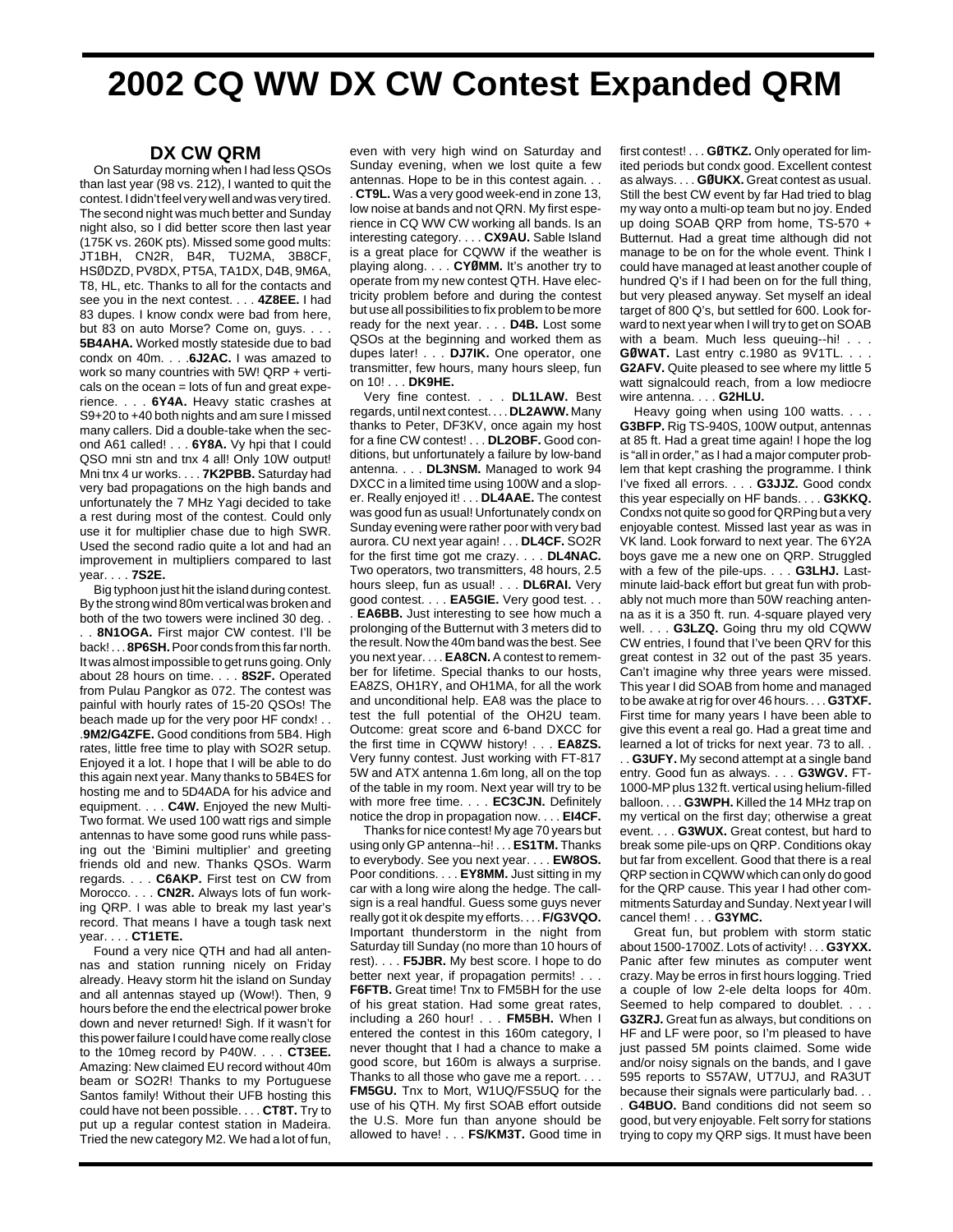## **2002 CQ WW DX CW Contest Expanded QRM**

## **DX CW QRM**

On Saturday morning when I had less QSOs than last year (98 vs. 212), I wanted to quit the contest. I didn't feel very well and was very tired. The second night was much better and Sunday night also, so I did better score then last year (175K vs. 260K pts). Missed some good mults: JT1BH, CN2R, B4R, TU2MA, 3B8CF, HSØDZD, PV8DX, PT5A, TA1DX, D4B, 9M6A, T8, HL, etc. Thanks to all for the contacts and see you in the next contest. . . . **4Z8EE.** I had 83 dupes. I know condx were bad from here, but 83 on auto Morse? Come on, guys. . . **5B4AHA.** Worked mostly stateside due to bad condx on 40m. . . .**6J2AC.** I was amazed to work so many countries with 5W! QRP + verticals on the ocean  $=$  lots of fun and great experience. . . . **6Y4A.** Heavy static crashes at S9+20 to +40 both nights and am sure I missed many callers. Did a double-take when the second A61 called! . . . **6Y8A.** Vy hpi that I could QSO mni stn and tnx 4 all! Only 10W output! Mni tnx 4 ur works. . . . **7K2PBB.** Saturday had very bad propagations on the high bands and unfortunately the 7 MHz Yagi decided to take a rest during most of the contest. Could only use it for multiplier chase due to high SWR. Used the second radio quite a lot and had an improvement in multipliers compared to last year. . . . **7S2E.**

Big typhoon just hit the island during contest. By the strong wind 80m vertical was broken and both of the two towers were inclined 30 deg. . . . **8N1OGA.** First major CW contest. I'll be back! . . . **8P6SH.**Poor conds from this far north. It was almost impossible to get runs going. Only about 28 hours on time. . . . **8S2F.** Operated from Pulau Pangkor as 072. The contest was painful with hourly rates of 15-20 QSOs! The beach made up for the very poor HF condx! . . .**9M2/G4ZFE.** Good conditions from 5B4. High rates, little free time to play with SO2R setup. Enjoyed it a lot. I hope that I will be able to do this again next year. Many thanks to 5B4ES for hosting me and to 5D4ADA for his advice and equipment. . . . **C4W.** Enjoyed the new Multi-Two format. We used 100 watt rigs and simple antennas to have some good runs while passing out the 'Bimini multiplier' and greeting friends old and new. Thanks QSOs. Warm regards. . . . **C6AKP.** First test on CW from Morocco. . . . **CN2R.** Always lots of fun working QRP. I was able to break my last year's record. That means I have a tough task next year. . . . **CT1ETE.**

Found a very nice QTH and had all antennas and station running nicely on Friday already. Heavy storm hit the island on Sunday and all antennas stayed up (Wow!). Then, 9 hours before the end the electrical power broke down and never returned! Sigh. If it wasn't for this power failure I could have come really close to the 10meg record by P40W. . . . **CT3EE.** Amazing: New claimed EU record without 40m beam or SO2R! Thanks to my Portuguese Santos family! Without their UFB hosting this could have not been possible. . . . **CT8T.** Try to put up a regular contest station in Madeira. Tried the new category M2. We had a lot of fun, even with very high wind on Saturday and Sunday evening, when we lost quite a few antennas. Hope to be in this contest again. . .

. **CT9L.** Was a very good week-end in zone 13, low noise at bands and not QRN. My first esperience in CQ WW CW working all bands. Is an interesting category. . . . **CX9AU.** Sable Island is a great place for CQWW if the weather is playing along. . . . **CYØMM.** It's another try to operate from my new contest QTH. Have electricity problem before and during the contest but use all possibilities to fix problem to be more ready for the next year. . . . **D4B.** Lost some QSOs at the beginning and worked them as dupes later! . . . **DJ7IK.** One operator, one transmitter, few hours, many hours sleep, fun on 10! . . . **DK9HE.** 

Very fine contest. . . . **DL1LAW.** Best regards, until next contest. . . . **DL2AWW.** Many thanks to Peter, DF3KV, once again my host for a fine CW contest! . . . **DL2OBF.** Good conditions, but unfortunately a failure by low-band antenna. . . . **DL3NSM.** Managed to work 94 DXCC in a limited time using 100W and a sloper. Really enjoyed it! . . . **DL4AAE.** The contest was good fun as usual! Unfortunately condx on Sunday evening were rather poor with very bad aurora. CU next year again! . . . **DL4CF.** SO2R for the first time got me crazy. . . . **DL4NAC.** Two operators, two transmitters, 48 hours, 2.5 hours sleep, fun as usual! . . . **DL6RAI.** Very good contest. . . . **EA5GIE.** Very good test. . . . **EA6BB.** Just interesting to see how much a prolonging of the Butternut with 3 meters did to the result. Now the 40m band was the best. See you next year. . . . **EA8CN.** A contest to remember for lifetime. Special thanks to our hosts, EA8ZS, OH1RY, and OH1MA, for all the work and unconditional help. EA8 was the place to test the full potential of the OH2U team. Outcome: great score and 6-band DXCC for the first time in CQWW history! . . . **EA8ZS.** Very funny contest. Just working with FT-817 5W and ATX antenna 1.6m long, all on the top of the table in my room. Next year will try to be with more free time. . . . **EC3CJN.** Definitely notice the drop in propagation now. . . . **EI4CF.**

Thanks for nice contest! My age 70 years but using only GP antenna--hi! . . . **ES1TM.** Thanks to everybody. See you next year. . . . **EW8OS.** Poor conditions. . . . **EY8MM.** Just sitting in my car with a long wire along the hedge. The callsign is a real handful. Guess some guys never really got it ok despite my efforts. . . . **F/G3VQO.** Important thunderstorm in the night from Saturday till Sunday (no more than 10 hours of rest). . . . **F5JBR.** My best score. I hope to do better next year, if propagation permits! . . . **F6FTB.** Great time! Tnx to FM5BH for the use of his great station. Had some great rates, including a 260 hour! . . . **FM5BH.** When I entered the contest in this 160m category, I never thought that I had a chance to make a good score, but 160m is always a surprise. Thanks to all those who gave me a report. . . . **FM5GU.** Tnx to Mort, W1UQ/FS5UQ for the use of his QTH. My first SOAB effort outside the U.S. More fun than anyone should be allowed to have! . . . **FS/KM3T.** Good time in first contest! . . . **GØTKZ.** Only operated for limited periods but condx good. Excellent contest as always. . . . **GØUKX.** Great contest as usual. Still the best CW event by far Had tried to blag my way onto a multi-op team but no joy. Ended up doing SOAB QRP from home, TS-570 + Butternut. Had a great time although did not manage to be on for the whole event. Think I could have managed at least another couple of hundred Q's if I had been on for the full thing, but very pleased anyway. Set myself an ideal target of 800 Q's, but settled for 600. Look forward to next year when I will try to get on SOAB with a beam. Much less queuing--hi! . . . **GØWAT.** Last entry c.1980 as 9V1TL. . . . **G2AFV.** Quite pleased to see where my little 5 watt signalcould reach, from a low mediocre wire antenna. . . . **G2HLU.**

Heavy going when using 100 watts. . . . **G3BFP.** Rig TS-940S, 100W output, antennas at 85 ft. Had a great time again! I hope the log is "all in order," as I had a major computer problem that kept crashing the programme. I think I've fixed all errors. . . . **G3JJZ.** Good condx this year especially on HF bands. . . . **G3KKQ.** Condxs not quite so good for QRPing but a very enjoyable contest. Missed last year as was in VK land. Look forward to next year. The 6Y2A boys gave me a new one on QRP. Struggled with a few of the pile-ups. . . . **G3LHJ.** Lastminute laid-back effort but great fun with probably not much more than 50W reaching antenna as it is a 350 ft. run. 4-square played very well. . . . **G3LZQ.** Going thru my old CQWW CW entries, I found that I've been QRV for this great contest in 32 out of the past 35 years. Can't imagine why three years were missed. This year I did SOAB from home and managed to be awake at rig for over 46 hours. . . . **G3TXF.** First time for many years I have been able to give this event a real go. Had a great time and learned a lot of tricks for next year. 73 to all. . . . **G3UFY.** My second attempt at a single band entry. Good fun as always. . . . **G3WGV.** FT-1000-MP plus 132 ft. vertical using helium-filled balloon. . . . **G3WPH.** Killed the 14 MHz trap on my vertical on the first day; otherwise a great event. . . . **G3WUX.** Great contest, but hard to break some pile-ups on QRP. Conditions okay but far from excellent. Good that there is a real QRP section in CQWW which can only do good for the QRP cause. This year I had other commitments Saturday and Sunday. Next year I will cancel them! . . . **G3YMC.**

Great fun, but problem with storm static about 1500-1700Z. Lots of activity! . . . **G3YXX.** Panic after few minutes as computer went crazy. May be erros in first hours logging. Tried a couple of low 2-ele delta loops for 40m. Seemed to help compared to doublet. . . . **G3ZRJ.** Great fun as always, but conditions on HF and LF were poor, so I'm pleased to have just passed 5M points claimed. Some wide and/or noisy signals on the bands, and I gave 595 reports to S57AW, UT7UJ, and RA3UT because their signals were particularly bad. . .

. **G4BUO.** Band conditions did not seem so good, but very enjoyable. Felt sorry for stations trying to copy my QRP sigs. It must have been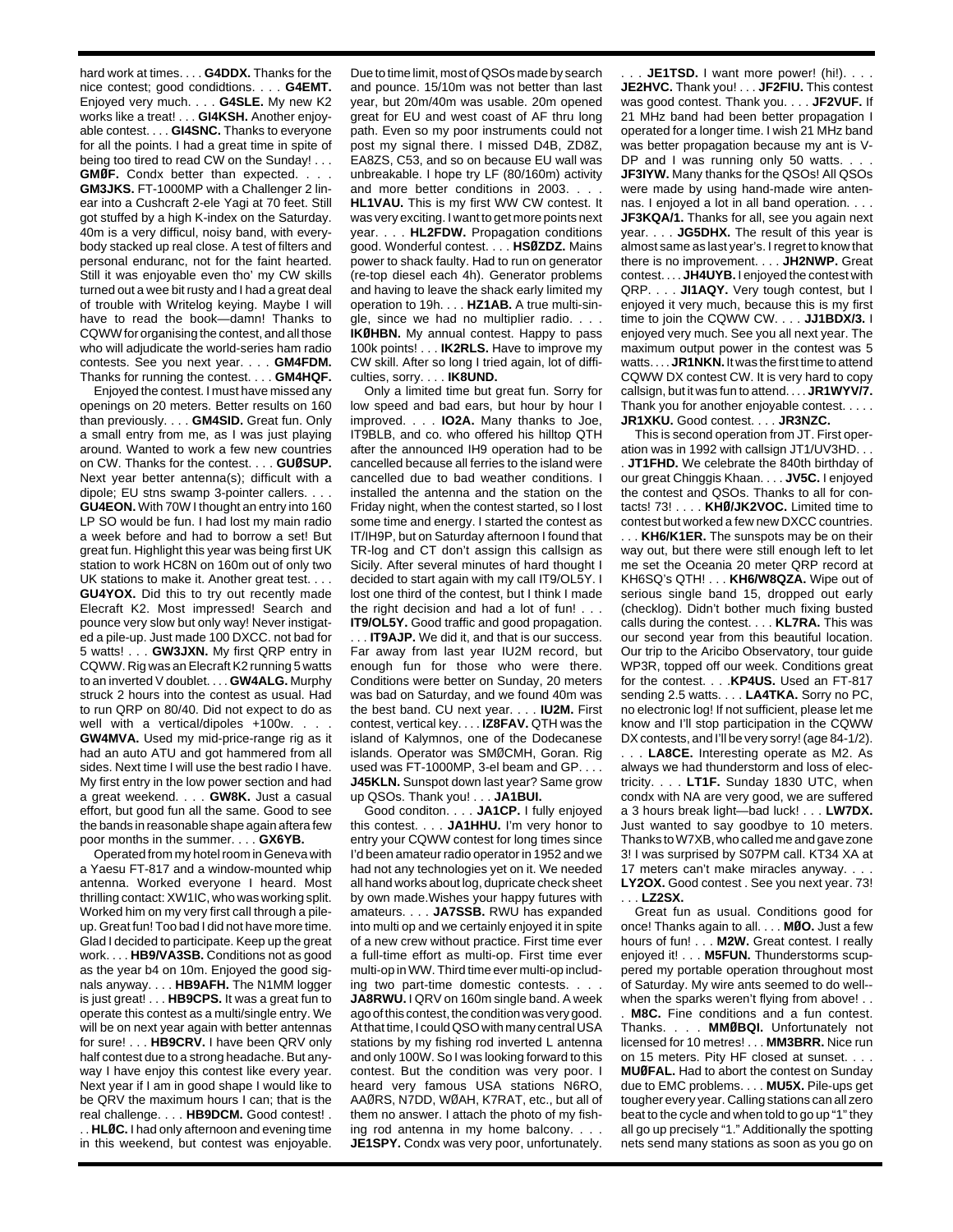hard work at times. . . . **G4DDX.** Thanks for the nice contest; good condidtions. . . . **G4EMT.** Enjoyed very much. . . . **G4SLE.** My new K2 works like a treat! . . . **GI4KSH.** Another enjoyable contest. . . . **GI4SNC.** Thanks to everyone for all the points. I had a great time in spite of being too tired to read CW on the Sunday! . . . **GMØF.** Condx better than expected. . . . **GM3JKS.** FT-1000MP with a Challenger 2 linear into a Cushcraft 2-ele Yagi at 70 feet. Still got stuffed by a high K-index on the Saturday. 40m is a very difficul, noisy band, with everybody stacked up real close. A test of filters and personal enduranc, not for the faint hearted. Still it was enjoyable even tho' my CW skills

turned out a wee bit rusty and I had a great deal of trouble with Writelog keying. Maybe I will have to read the book—damn! Thanks to CQWW for organising the contest, and all those who will adjudicate the world-series ham radio contests. See you next year. . . . **GM4FDM.** Thanks for running the contest. . . . **GM4HQF.**

Enjoyed the contest. I must have missed any openings on 20 meters. Better results on 160 than previously. . . . **GM4SID.** Great fun. Only a small entry from me, as I was just playing around. Wanted to work a few new countries on CW. Thanks for the contest. . . . **GUØSUP.** Next year better antenna(s); difficult with a dipole; EU stns swamp 3-pointer callers. . . . **GU4EON.** With 70W I thought an entry into 160 LP SO would be fun. I had lost my main radio a week before and had to borrow a set! But great fun. Highlight this year was being first UK station to work HC8N on 160m out of only two UK stations to make it. Another great test. . . . **GU4YOX.** Did this to try out recently made Elecraft K2. Most impressed! Search and pounce very slow but only way! Never instigated a pile-up. Just made 100 DXCC. not bad for 5 watts! . . . **GW3JXN.** My first QRP entry in CQWW. Rig was an Elecraft K2 running 5 watts to an inverted V doublet. . . . **GW4ALG.** Murphy struck 2 hours into the contest as usual. Had to run QRP on 80/40. Did not expect to do as well with a vertical/dipoles +100w. . . . **GW4MVA.** Used my mid-price-range rig as it had an auto ATU and got hammered from all sides. Next time I will use the best radio I have. My first entry in the low power section and had a great weekend. . . . **GW8K.** Just a casual effort, but good fun all the same. Good to see the bands in reasonable shape again aftera few poor months in the summer. . . . **GX6YB.**

Operated from my hotel room in Geneva with a Yaesu FT-817 and a window-mounted whip antenna. Worked everyone I heard. Most thrilling contact: XW1IC, who was working split. Worked him on my very first call through a pileup. Great fun! Too bad I did not have more time. Glad I decided to participate. Keep up the great work. . . . **HB9/VA3SB.** Conditions not as good as the year b4 on 10m. Enjoyed the good signals anyway. . . . **HB9AFH.** The N1MM logger is just great! . . . **HB9CPS.** It was a great fun to operate this contest as a multi/single entry. We will be on next year again with better antennas for sure! . . . **HB9CRV.** I have been QRV only half contest due to a strong headache. But anyway I have enjoy this contest like every year. Next year if I am in good shape I would like to be QRV the maximum hours I can; that is the real challenge. . . . **HB9DCM.** Good contest! . . . **HLØC.** I had only afternoon and evening time in this weekend, but contest was enjoyable.

Due to time limit, most of QSOs made by search and pounce. 15/10m was not better than last year, but 20m/40m was usable. 20m opened great for EU and west coast of AF thru long path. Even so my poor instruments could not post my signal there. I missed D4B, ZD8Z, EA8ZS, C53, and so on because EU wall was unbreakable. I hope try LF (80/160m) activity and more better conditions in 2003. . . . **HL1VAU.** This is my first WW CW contest. It was very exciting. I want to get more points next year. . . . **HL2FDW.** Propagation conditions good. Wonderful contest. . . . **HSØZDZ.** Mains power to shack faulty. Had to run on generator (re-top diesel each 4h). Generator problems and having to leave the shack early limited my operation to 19h. . . . **HZ1AB.** A true multi-single, since we had no multiplier radio. . . . **IKØHBN.** My annual contest. Happy to pass 100k points! . . . **IK2RLS.** Have to improve my CW skill. After so long I tried again, lot of difficulties, sorry. . . . **IK8UND.**

Only a limited time but great fun. Sorry for low speed and bad ears, but hour by hour I improved. . . . **IO2A.** Many thanks to Joe, IT9BLB, and co. who offered his hilltop QTH after the announced IH9 operation had to be cancelled because all ferries to the island were cancelled due to bad weather conditions. I installed the antenna and the station on the Friday night, when the contest started, so I lost some time and energy. I started the contest as IT/IH9P, but on Saturday afternoon I found that TR-log and CT don't assign this callsign as Sicily. After several minutes of hard thought I decided to start again with my call IT9/OL5Y. I lost one third of the contest, but I think I made the right decision and had a lot of fun! . . . **IT9/OL5Y.** Good traffic and good propagation.

. . . **IT9AJP.** We did it, and that is our success. Far away from last year IU2M record, but enough fun for those who were there. Conditions were better on Sunday, 20 meters was bad on Saturday, and we found 40m was the best band. CU next year. . . . **IU2M.** First contest, vertical key. . . . **IZ8FAV.** QTH was the island of Kalymnos, one of the Dodecanese islands. Operator was SMØCMH, Goran. Rig used was FT-1000MP, 3-el beam and GP. . . . **J45KLN.** Sunspot down last year? Same grow up QSOs. Thank you! . . . **JA1BUI.**

Good conditon. . . . **JA1CP.** I fully enjoyed this contest. . . . **JA1HHU.** I'm very honor to entry your CQWW contest for long times since I'd been amateur radio operator in 1952 and we had not any technologies yet on it. We needed all hand works about log, dupricate check sheet by own made.Wishes your happy futures with amateurs. . . . **JA7SSB.** RWU has expanded into multi op and we certainly enjoyed it in spite of a new crew without practice. First time ever a full-time effort as multi-op. First time ever multi-op in WW. Third time ever multi-op including two part-time domestic contests. . . .

**JA8RWU.** I QRV on 160m single band. A week ago of this contest, the condition was very good. At that time, I could QSO with many central USA stations by my fishing rod inverted L antenna and only 100W. So I was looking forward to this contest. But the condition was very poor. I heard very famous USA stations N6RO, AAØRS, N7DD, WØAH, K7RAT, etc., but all of them no answer. I attach the photo of my fishing rod antenna in my home balcony. . . . **JE1SPY.** Condx was very poor, unfortunately.

. . . **JE1TSD.** I want more power! (hi!). . . . **JE2HVC.** Thank you! . . . **JF2FIU.** This contest was good contest. Thank you. . . . **JF2VUF.** If 21 MHz band had been better propagation I operated for a longer time. I wish 21 MHz band was better propagation because my ant is V-DP and I was running only 50 watts. . **JF3IYW.** Many thanks for the QSOs! All QSOs were made by using hand-made wire antennas. I enjoyed a lot in all band operation. . . . **JF3KQA/1.** Thanks for all, see you again next year. . . . **JG5DHX.** The result of this year is almost same as last year's. I regret to know that there is no improvement. . . . **JH2NWP.** Great contest. . . . **JH4UYB.** I enjoyed the contest with QRP. . . . **JI1AQY.** Very tough contest, but I enjoyed it very much, because this is my first time to join the CQWW CW. . . . **JJ1BDX/3.** I enjoyed very much. See you all next year. The maximum output power in the contest was 5 watts. . . . **JR1NKN.** It was the first time to attend CQWW DX contest CW. It is very hard to copy callsign, but it was fun to attend. . . . **JR1WYV/7.** Thank you for another enjoyable contest. . . . . **JR1XKU.** Good contest. . . . **JR3NZC.**

This is second operation from JT. First operation was in 1992 with callsign JT1/UV3HD. . . . **JT1FHD.** We celebrate the 840th birthday of our great Chinggis Khaan. . . . **JV5C.** I enjoyed the contest and QSOs. Thanks to all for contacts! 73! . . . . **KHØ/JK2VOC.** Limited time to contest but worked a few new DXCC countries.

. . . **KH6/K1ER.** The sunspots may be on their way out, but there were still enough left to let me set the Oceania 20 meter QRP record at KH6SQ's QTH! . . . **KH6/W8QZA.** Wipe out of serious single band 15, dropped out early (checklog). Didn't bother much fixing busted calls during the contest. . . . **KL7RA.** This was our second year from this beautiful location. Our trip to the Aricibo Observatory, tour guide WP3R, topped off our week. Conditions great for the contest. . . .**KP4US.** Used an FT-817 sending 2.5 watts. . . . **LA4TKA.** Sorry no PC, no electronic log! If not sufficient, please let me know and I'll stop participation in the CQWW DX contests, and I'll be very sorry! (age 84-1/2).

. . . **LA8CE.** Interesting operate as M2. As always we had thunderstorm and loss of electricity. . . . **LT1F.** Sunday 1830 UTC, when condx with NA are very good, we are suffered a 3 hours break light—bad luck! . . . **LW7DX.** Just wanted to say goodbye to 10 meters. Thanks to W7XB, who called me and gave zone 3! I was surprised by S07PM call. KT34 XA at 17 meters can't make miracles anyway. . . . **LY2OX.** Good contest . See you next year. 73! . . . **LZ2SX.**

Great fun as usual. Conditions good for once! Thanks again to all. . . . **MØO.** Just a few hours of fun! . . . **M2W.** Great contest. I really enjoyed it! . . . **M5FUN.** Thunderstorms scuppered my portable operation throughout most of Saturday. My wire ants seemed to do well- when the sparks weren't flying from above! . .

. **M8C.** Fine conditions and a fun contest. Thanks. . . . **MMØBQI.** Unfortunately not licensed for 10 metres! . . . **MM3BRR.** Nice run on 15 meters. Pity HF closed at sunset. . . . **MUØFAL.** Had to abort the contest on Sunday due to EMC problems. . . . **MU5X.** Pile-ups get tougher every year. Calling stations can all zero beat to the cycle and when told to go up "1" they all go up precisely "1." Additionally the spotting nets send many stations as soon as you go on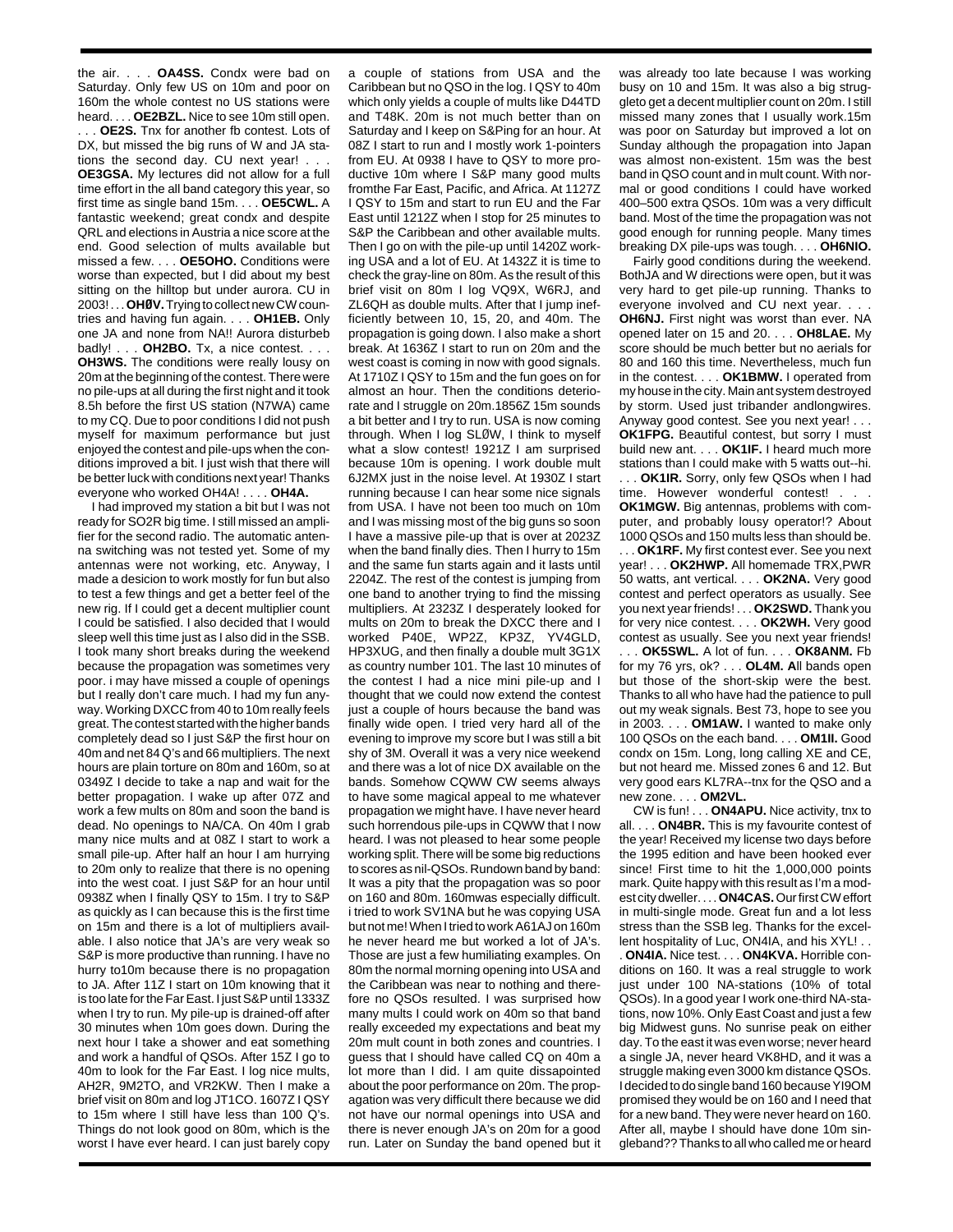the air. . . . **OA4SS.** Condx were bad on Saturday. Only few US on 10m and poor on 160m the whole contest no US stations were heard. . . . **OE2BZL.** Nice to see 10m still open. . . . **OE2S.** Tnx for another fb contest. Lots of DX, but missed the big runs of W and JA stations the second day. CU next year! . . **OE3GSA.** My lectures did not allow for a full time effort in the all band category this year, so first time as single band 15m. . . . **OE5CWL.** A fantastic weekend; great condx and despite QRL and elections in Austria a nice score at the end. Good selection of mults available but missed a few. . . . **OE5OHO.** Conditions were worse than expected, but I did about my best sitting on the hilltop but under aurora. CU in 2003! . . . **OHØV.**Trying to collect new CW countries and having fun again. . . . **OH1EB.** Only one JA and none from NA!! Aurora disturbeb badly! . . . **OH2BO.** Tx, a nice contest. . . . **OH3WS.** The conditions were really lousy on 20m at the beginning of the contest. There were no pile-ups at all during the first night and it took 8.5h before the first US station (N7WA) came to my CQ. Due to poor conditions I did not push myself for maximum performance but just enjoyed the contest and pile-ups when the conditions improved a bit. I just wish that there will be better luck with conditions next year! Thanks everyone who worked OH4A! . . . . **OH4A.**

I had improved my station a bit but I was not ready for SO2R big time. I still missed an amplifier for the second radio. The automatic antenna switching was not tested yet. Some of my antennas were not working, etc. Anyway, I made a desicion to work mostly for fun but also to test a few things and get a better feel of the new rig. If I could get a decent multiplier count I could be satisfied. I also decided that I would sleep well this time just as I also did in the SSB. I took many short breaks during the weekend because the propagation was sometimes very poor. i may have missed a couple of openings but I really don't care much. I had my fun anyway. Working DXCC from 40 to 10m really feels great. The contest started with the higher bands completely dead so I just S&P the first hour on 40m and net 84 Q's and 66 multipliers. The next hours are plain torture on 80m and 160m, so at 0349Z I decide to take a nap and wait for the better propagation. I wake up after 07Z and work a few mults on 80m and soon the band is dead. No openings to NA/CA. On 40m I grab many nice mults and at 08Z I start to work a small pile-up. After half an hour I am hurrying to 20m only to realize that there is no opening into the west coat. I just S&P for an hour until 0938Z when I finally QSY to 15m. I try to S&P as quickly as I can because this is the first time on 15m and there is a lot of multipliers available. I also notice that JA's are very weak so S&P is more productive than running. I have no hurry to10m because there is no propagation to JA. After 11Z I start on 10m knowing that it is too late for the Far East. I just S&P until 1333Z when I try to run. My pile-up is drained-off after 30 minutes when 10m goes down. During the next hour I take a shower and eat something and work a handful of QSOs. After 15Z I go to 40m to look for the Far East. I log nice mults, AH2R, 9M2TO, and VR2KW. Then I make a brief visit on 80m and log JT1CO. 1607Z I QSY to 15m where I still have less than 100 Q's. Things do not look good on 80m, which is the worst I have ever heard. I can just barely copy

a couple of stations from USA and the Caribbean but no QSO in the log. I QSY to 40m which only yields a couple of mults like D44TD and T48K. 20m is not much better than on Saturday and I keep on S&Ping for an hour. At 08Z I start to run and I mostly work 1-pointers from EU. At 0938 I have to QSY to more productive 10m where I S&P many good mults fromthe Far East, Pacific, and Africa. At 1127Z I QSY to 15m and start to run EU and the Far East until 1212Z when I stop for 25 minutes to S&P the Caribbean and other available mults. Then I go on with the pile-up until 1420Z working USA and a lot of EU. At 1432Z it is time to check the gray-line on 80m. As the result of this brief visit on 80m I log VQ9X, W6RJ, and ZL6QH as double mults. After that I jump inefficiently between 10, 15, 20, and 40m. The propagation is going down. I also make a short break. At 1636Z I start to run on 20m and the west coast is coming in now with good signals. At 1710Z I QSY to 15m and the fun goes on for almost an hour. Then the conditions deteriorate and I struggle on 20m.1856Z 15m sounds a bit better and I try to run. USA is now coming through. When I log SLØW, I think to myself what a slow contest! 1921Z I am surprised because 10m is opening. I work double mult 6J2MX just in the noise level. At 1930Z I start running because I can hear some nice signals from USA. I have not been too much on 10m and I was missing most of the big guns so soon I have a massive pile-up that is over at 2023Z when the band finally dies. Then I hurry to 15m and the same fun starts again and it lasts until 2204Z. The rest of the contest is jumping from one band to another trying to find the missing multipliers. At 2323Z I desperately looked for mults on 20m to break the DXCC there and I worked P40E, WP2Z, KP3Z, YV4GLD, HP3XUG, and then finally a double mult 3G1X as country number 101. The last 10 minutes of the contest I had a nice mini pile-up and I thought that we could now extend the contest just a couple of hours because the band was finally wide open. I tried very hard all of the evening to improve my score but I was still a bit shy of 3M. Overall it was a very nice weekend and there was a lot of nice DX available on the bands. Somehow CQWW CW seems always to have some magical appeal to me whatever propagation we might have. I have never heard such horrendous pile-ups in CQWW that I now heard. I was not pleased to hear some people working split. There will be some big reductions to scores as nil-QSOs. Rundown band by band: It was a pity that the propagation was so poor on 160 and 80m. 160mwas especially difficult. i tried to work SV1NA but he was copying USA but not me! When I tried to work A61AJ on 160m he never heard me but worked a lot of JA's. Those are just a few humiliating examples. On 80m the normal morning opening into USA and the Caribbean was near to nothing and therefore no QSOs resulted. I was surprised how many mults I could work on 40m so that band really exceeded my expectations and beat my 20m mult count in both zones and countries. I guess that I should have called CQ on 40m a lot more than I did. I am quite dissapointed about the poor performance on 20m. The propagation was very difficult there because we did not have our normal openings into USA and there is never enough JA's on 20m for a good run. Later on Sunday the band opened but it was already too late because I was working busy on 10 and 15m. It was also a big struggleto get a decent multiplier count on 20m. I still missed many zones that I usually work.15m was poor on Saturday but improved a lot on Sunday although the propagation into Japan was almost non-existent. 15m was the best band in QSO count and in mult count. With normal or good conditions I could have worked 400–500 extra QSOs. 10m was a very difficult band. Most of the time the propagation was not good enough for running people. Many times breaking DX pile-ups was tough. . . . **OH6NIO.**

Fairly good conditions during the weekend. BothJA and W directions were open, but it was very hard to get pile-up running. Thanks to everyone involved and CU next year. . . **OH6NJ.** First night was worst than ever. NA opened later on 15 and 20. . . . **OH8LAE.** My score should be much better but no aerials for 80 and 160 this time. Nevertheless, much fun in the contest. . . . **OK1BMW.** I operated from my house in the city. Main ant system destroyed by storm. Used just tribander andlongwires. Anyway good contest. See you next year! . . . **OK1FPG.** Beautiful contest, but sorry I must build new ant. . . . **OK1IF.** I heard much more stations than I could make with 5 watts out--hi. . . . **OK1IR.** Sorry, only few QSOs when I had time. However wonderful contest! . . . **OK1MGW.** Big antennas, problems with computer, and probably lousy operator!? About 1000 QSOs and 150 mults less than should be. . . . **OK1RF.** My first contest ever. See you next year! . . . **OK2HWP.** All homemade TRX,PWR 50 watts, ant vertical. . . . **OK2NA.** Very good contest and perfect operators as usually. See you next year friends! . . . **OK2SWD.** Thank you for very nice contest. . . . **OK2WH.** Very good contest as usually. See you next year friends! . . . **OK5SWL.** A lot of fun. . . . **OK8ANM.** Fb for my 76 yrs, ok? . . . **OL4M. A**ll bands open but those of the short-skip were the best. Thanks to all who have had the patience to pull out my weak signals. Best 73, hope to see you in 2003. . . . **OM1AW.** I wanted to make only 100 QSOs on the each band. . . . **OM1II.** Good condx on 15m. Long, long calling XE and CE, but not heard me. Missed zones 6 and 12. But very good ears KL7RA--tnx for the QSO and a new zone. . . . **OM2VL.**

CW is fun! . . . **ON4APU.** Nice activity, tnx to all. . . . **ON4BR.** This is my favourite contest of the year! Received my license two days before the 1995 edition and have been hooked ever since! First time to hit the 1,000,000 points mark. Quite happy with this result as I'm a modest city dweller. . . . **ON4CAS.**Our first CW effort in multi-single mode. Great fun and a lot less stress than the SSB leg. Thanks for the excellent hospitality of Luc, ON4IA, and his XYL! . .

. **ON4IA.** Nice test. . . . **ON4KVA.** Horrible conditions on 160. It was a real struggle to work just under 100 NA-stations (10% of total QSOs). In a good year I work one-third NA-stations, now 10%. Only East Coast and just a few big Midwest guns. No sunrise peak on either day. To the east it was even worse; never heard a single JA, never heard VK8HD, and it was a struggle making even 3000 km distance QSOs. I decided to do single band 160 because YI9OM promised they would be on 160 and I need that for a new band. They were never heard on 160. After all, maybe I should have done 10m singleband?? Thanks to all who called me or heard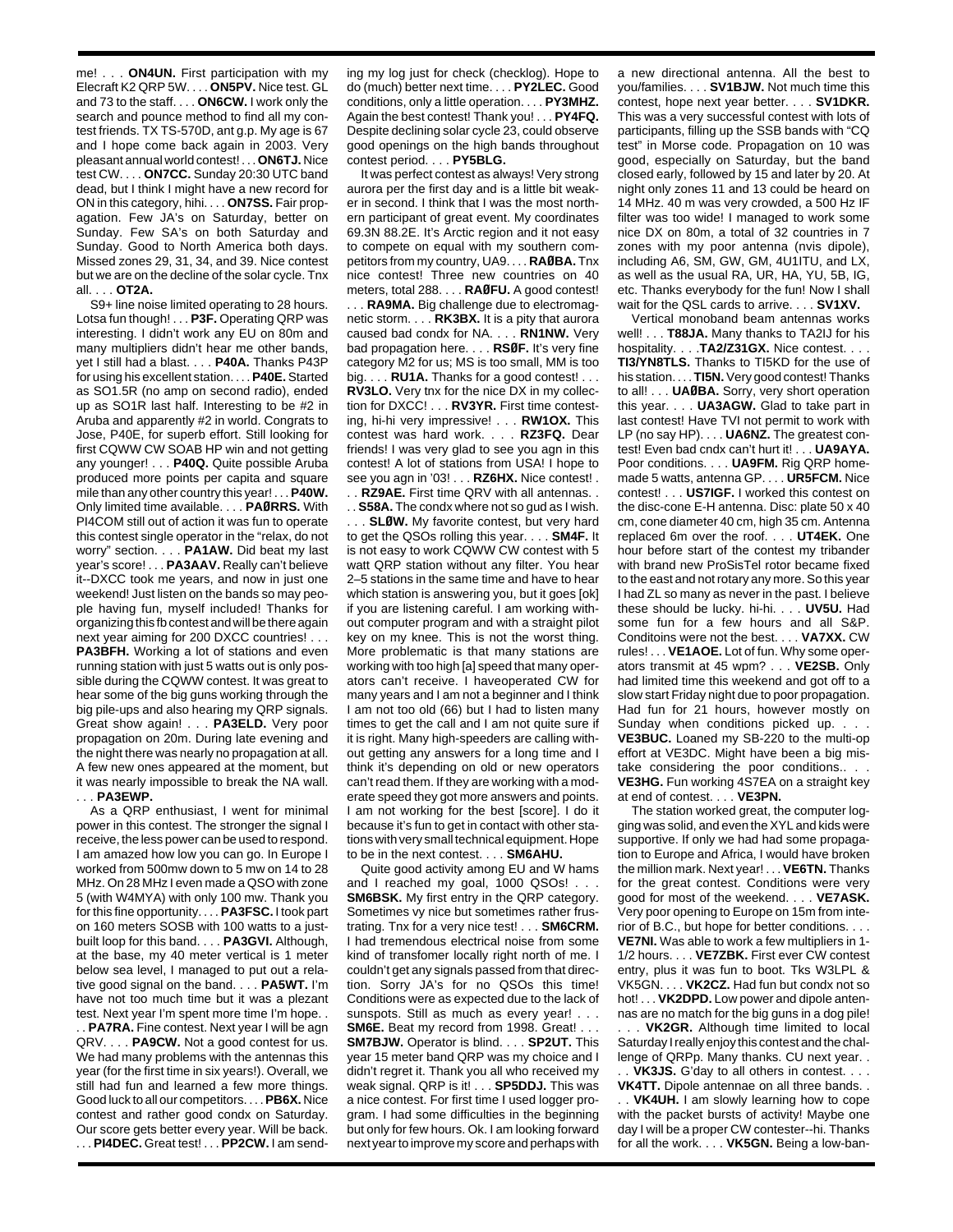me! . . . **ON4UN.** First participation with my Elecraft K2 QRP 5W. . . . **ON5PV.** Nice test. GL and 73 to the staff. . . . **ON6CW.** I work only the search and pounce method to find all my contest friends. TX TS-570D, ant g.p. My age is 67 and I hope come back again in 2003. Very pleasant annual world contest! . . . **ON6TJ.** Nice test CW. . . . **ON7CC.** Sunday 20:30 UTC band dead, but I think I might have a new record for ON in this category, hihi. . . . **ON7SS.** Fair propagation. Few JA's on Saturday, better on Sunday. Few SA's on both Saturday and Sunday. Good to North America both days. Missed zones 29, 31, 34, and 39. Nice contest but we are on the decline of the solar cycle. Tnx all. . . . **OT2A.**

S9+ line noise limited operating to 28 hours. Lotsa fun though! . . . **P3F.** Operating QRP was interesting. I didn't work any EU on 80m and many multipliers didn't hear me other bands, yet I still had a blast. . . . **P40A.** Thanks P43P for using his excellent station. . . . **P40E.**Started as SO1.5R (no amp on second radio), ended up as SO1R last half. Interesting to be #2 in Aruba and apparently #2 in world. Congrats to Jose, P40E, for superb effort. Still looking for first CQWW CW SOAB HP win and not getting any younger! . . . **P40Q.** Quite possible Aruba produced more points per capita and square mile than any other country this year! . . . **P40W.** Only limited time available. . . . **PAØRRS.** With PI4COM still out of action it was fun to operate this contest single operator in the "relax, do not worry" section. . . . **PA1AW.** Did beat my last year's score! . . . **PA3AAV.** Really can't believe it--DXCC took me years, and now in just one weekend! Just listen on the bands so may people having fun, myself included! Thanks for organizing this fb contest and will be there again next year aiming for 200 DXCC countries! . . . **PA3BFH.** Working a lot of stations and even running station with just 5 watts out is only possible during the CQWW contest. It was great to hear some of the big guns working through the big pile-ups and also hearing my QRP signals. Great show again! . . . **PA3ELD.** Very poor propagation on 20m. During late evening and the night there was nearly no propagation at all. A few new ones appeared at the moment, but it was nearly impossible to break the NA wall. . . . **PA3EWP.**

As a QRP enthusiast, I went for minimal power in this contest. The stronger the signal I receive, the less power can be used to respond. I am amazed how low you can go. In Europe I worked from 500mw down to 5 mw on 14 to 28 MHz. On 28 MHz I even made a QSO with zone 5 (with W4MYA) with only 100 mw. Thank you for this fine opportunity. . . . **PA3FSC.** I took part on 160 meters SOSB with 100 watts to a justbuilt loop for this band. . . . **PA3GVI.** Although, at the base, my 40 meter vertical is 1 meter below sea level, I managed to put out a relative good signal on the band. . . . **PA5WT.** I'm have not too much time but it was a plezant test. Next year I'm spent more time I'm hope. . . . **PA7RA.** Fine contest. Next year I will be agn QRV. . . . **PA9CW.** Not a good contest for us. We had many problems with the antennas this year (for the first time in six years!). Overall, we still had fun and learned a few more things. Good luck to all our competitors. . . . **PB6X.** Nice

contest and rather good condx on Saturday. Our score gets better every year. Will be back. . . . **PI4DEC.** Great test! . . . **PP2CW.** I am sending my log just for check (checklog). Hope to do (much) better next time. . . . **PY2LEC.** Good conditions, only a little operation. . . . **PY3MHZ.** Again the best contest! Thank you! . . . **PY4FQ.** Despite declining solar cycle 23, could observe good openings on the high bands throughout contest period. . . . **PY5BLG.**

It was perfect contest as always! Very strong aurora per the first day and is a little bit weaker in second. I think that I was the most northern participant of great event. My coordinates 69.3N 88.2E. It's Arctic region and it not easy to compete on equal with my southern competitors from my country, UA9. . . . **RAØBA.** Tnx nice contest! Three new countries on 40 meters, total 288. . . . **RAØFU.** A good contest!

. . . **RA9MA.** Big challenge due to electromagnetic storm. . . . **RK3BX.** It is a pity that aurora caused bad condx for NA. . . . **RN1NW.** Very bad propagation here. . . . **RSØF.** It's very fine category M2 for us; MS is too small, MM is too big. . . . **RU1A.** Thanks for a good contest! . . . **RV3LO.** Very tnx for the nice DX in my collection for DXCC! . . . **RV3YR.** First time contesting, hi-hi very impressive! . . . **RW1OX.** This contest was hard work. . . . **RZ3FQ.** Dear friends! I was very glad to see you agn in this contest! A lot of stations from USA! I hope to see you agn in '03! . . . **RZ6HX.** Nice contest! . . . **RZ9AE.** First time QRV with all antennas. .

. . **S58A.** The condx where not so gud as I wish.

. . . **SLØW.** My favorite contest, but very hard to get the QSOs rolling this year. . . . **SM4F.** It is not easy to work CQWW CW contest with 5 watt QRP station without any filter. You hear 2–5 stations in the same time and have to hear which station is answering you, but it goes [ok] if you are listening careful. I am working without computer program and with a straight pilot key on my knee. This is not the worst thing. More problematic is that many stations are working with too high [a] speed that many operators can't receive. I haveoperated CW for many years and I am not a beginner and I think I am not too old (66) but I had to listen many times to get the call and I am not quite sure if it is right. Many high-speeders are calling without getting any answers for a long time and I think it's depending on old or new operators can't read them. If they are working with a moderate speed they got more answers and points. I am not working for the best [score]. I do it because it's fun to get in contact with other stations with very small technical equipment. Hope to be in the next contest. . . . **SM6AHU.**

Quite good activity among EU and W hams and I reached my goal, 1000 QSOs! . . . **SM6BSK.** My first entry in the QRP category. Sometimes vy nice but sometimes rather frustrating. Tnx for a very nice test! . . . **SM6CRM.** I had tremendous electrical noise from some kind of transfomer locally right north of me. I couldn't get any signals passed from that direction. Sorry JA's for no QSOs this time! Conditions were as expected due to the lack of sunspots. Still as much as every year! . . . **SM6E.** Beat my record from 1998. Great! . . . **SM7BJW.** Operator is blind. . . . **SP2UT.** This year 15 meter band QRP was my choice and I didn't regret it. Thank you all who received my weak signal. QRP is it! . . . **SP5DDJ.** This was a nice contest. For first time I used logger program. I had some difficulties in the beginning but only for few hours. Ok. I am looking forward next year to improve my score and perhaps with

a new directional antenna. All the best to you/families. . . . **SV1BJW.** Not much time this contest, hope next year better. . . . **SV1DKR.** This was a very successful contest with lots of participants, filling up the SSB bands with "CQ test" in Morse code. Propagation on 10 was good, especially on Saturday, but the band closed early, followed by 15 and later by 20. At night only zones 11 and 13 could be heard on 14 MHz. 40 m was very crowded, a 500 Hz IF filter was too wide! I managed to work some nice DX on 80m, a total of 32 countries in 7 zones with my poor antenna (nvis dipole), including A6, SM, GW, GM, 4U1ITU, and LX, as well as the usual RA, UR, HA, YU, 5B, IG, etc. Thanks everybody for the fun! Now I shall wait for the QSL cards to arrive. . . . **SV1XV.**

Vertical monoband beam antennas works well! . . . **T88JA.** Many thanks to TA2IJ for his hospitality. . . . **TA2/Z31GX.** Nice contest. . . . **TI3/YN8TLS.** Thanks to TI5KD for the use of his station. . . . **TI5N.** Very good contest! Thanks to all! . . . **UAØBA.** Sorry, very short operation this year. . . . **UA3AGW.** Glad to take part in last contest! Have TVI not permit to work with LP (no say HP). . . . **UA6NZ.** The greatest contest! Even bad cndx can't hurt it! . . . **UA9AYA.** Poor conditions. . . . **UA9FM.** Rig QRP homemade 5 watts, antenna GP. . . . **UR5FCM.** Nice contest! . . . **US7IGF.** I worked this contest on the disc-cone E-H antenna. Disc: plate 50 x 40 cm, cone diameter 40 cm, high 35 cm. Antenna replaced 6m over the roof. . . . **UT4EK.** One hour before start of the contest my tribander with brand new ProSisTel rotor became fixed to the east and not rotary any more. So this year I had ZL so many as never in the past. I believe these should be lucky. hi-hi. . . . **UV5U.** Had some fun for a few hours and all S&P. Conditoins were not the best. . . . **VA7XX.** CW rules! . . . **VE1AOE.** Lot of fun. Why some operators transmit at 45 wpm? . . . **VE2SB.** Only had limited time this weekend and got off to a slow start Friday night due to poor propagation. Had fun for 21 hours, however mostly on Sunday when conditions picked up. . . . **VE3BUC.** Loaned my SB-220 to the multi-op effort at VE3DC. Might have been a big mistake considering the poor conditions.. . . **VE3HG.** Fun working 4S7EA on a straight key at end of contest. . . . **VE3PN.**

The station worked great, the computer logging was solid, and even the XYL and kids were supportive. If only we had had some propagation to Europe and Africa, I would have broken the million mark. Next year! . . . **VE6TN.** Thanks for the great contest. Conditions were very good for most of the weekend. . . . **VE7ASK.** Very poor opening to Europe on 15m from interior of B.C., but hope for better conditions. . . . **VE7NI.** Was able to work a few multipliers in 1- 1/2 hours. . . . **VE7ZBK.** First ever CW contest entry, plus it was fun to boot. Tks W3LPL & VK5GN. . . . **VK2CZ.** Had fun but condx not so hot! . . . **VK2DPD.** Low power and dipole antennas are no match for the big guns in a dog pile!

. . . **VK2GR.** Although time limited to local Saturday I really enjoy this contest and the challenge of QRPp. Many thanks. CU next year. . . . **VK3JS.** G'day to all others in contest. . . .

**VK4TT.** Dipole antennae on all three bands. . . . **VK4UH.** I am slowly learning how to cope with the packet bursts of activity! Maybe one day I will be a proper CW contester--hi. Thanks for all the work. . . . **VK5GN.** Being a low-ban-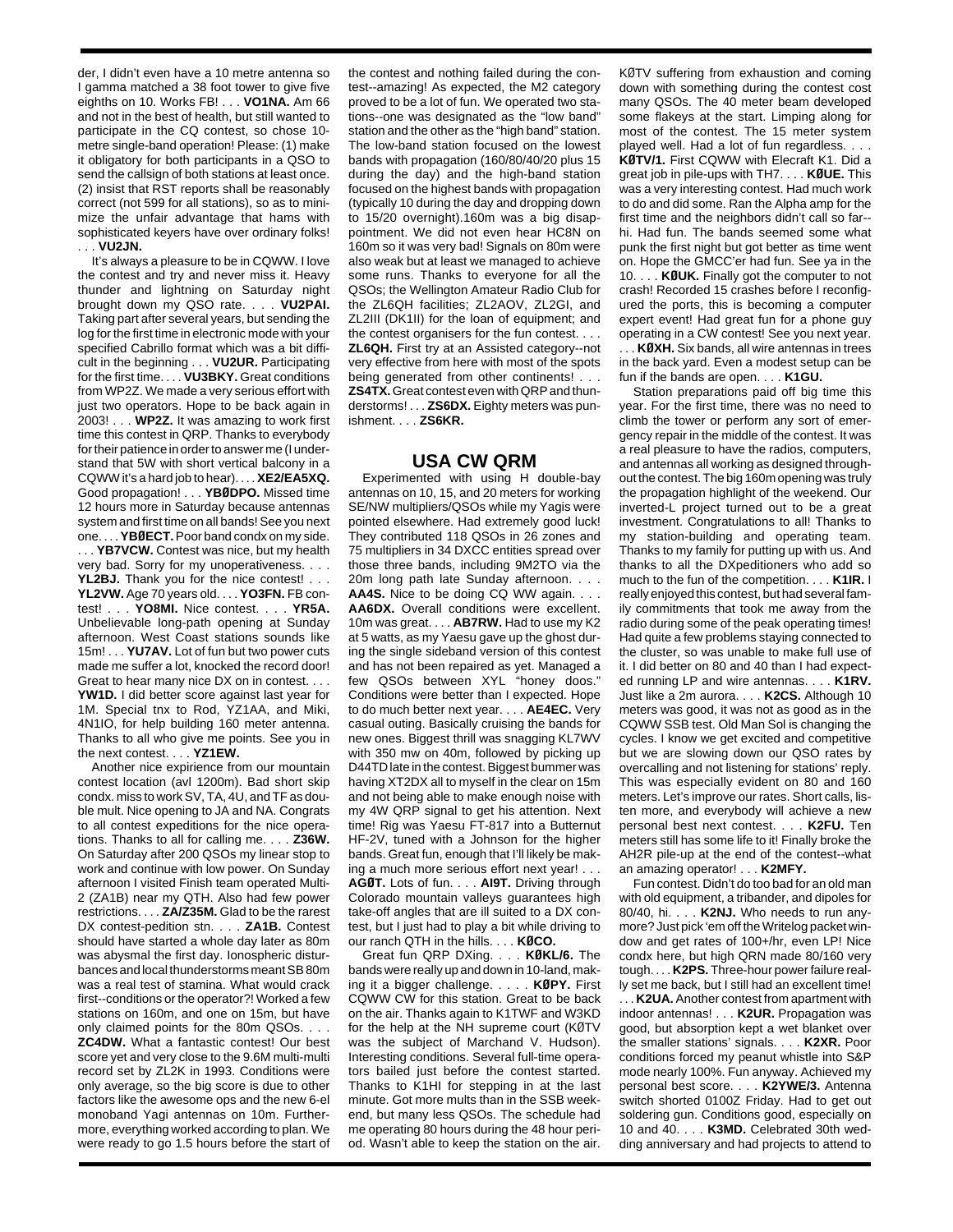der, I didn't even have a 10 metre antenna so I gamma matched a 38 foot tower to give five eighths on 10. Works FB! . . . **VO1NA.** Am 66 and not in the best of health, but still wanted to participate in the CQ contest, so chose 10 metre single-band operation! Please: (1) make it obligatory for both participants in a QSO to send the callsign of both stations at least once. (2) insist that RST reports shall be reasonably correct (not 599 for all stations), so as to minimize the unfair advantage that hams with sophisticated keyers have over ordinary folks! . . . **VU2JN.**

It's always a pleasure to be in CQWW. I love the contest and try and never miss it. Heavy thunder and lightning on Saturday night brought down my QSO rate. . . . **VU2PAI.** Taking part after several years, but sending the log for the first time in electronic mode with your specified Cabrillo format which was a bit difficult in the beginning . . . **VU2UR.** Participating for the first time. . . . **VU3BKY.** Great conditions from WP2Z. We made a very serious effort with just two operators. Hope to be back again in 2003! . . . **WP2Z.** It was amazing to work first time this contest in QRP. Thanks to everybody for their patience in order to answer me (I understand that 5W with short vertical balcony in a CQWW it's a hard job to hear). . . . **XE2/EA5XQ.** Good propagation! . . . **YBØDPO.** Missed time 12 hours more in Saturday because antennas system and first time on all bands! See you next one. . . . **YBØECT.**Poor band condx on my side. . . . **YB7VCW.** Contest was nice, but my health very bad. Sorry for my unoperativeness. . . . **YL2BJ.** Thank you for the nice contest! . . . **YL2VW.** Age 70 years old. . . . **YO3FN.** FB contest! . . . **YO8MI.** Nice contest. . . . **YR5A.** Unbelievable long-path opening at Sunday afternoon. West Coast stations sounds like 15m! . . . **YU7AV.** Lot of fun but two power cuts made me suffer a lot, knocked the record door! Great to hear many nice DX on in contest. . . . **YW1D.** I did better score against last year for 1M. Special tnx to Rod, YZ1AA, and Miki, 4N1IO, for help building 160 meter antenna. Thanks to all who give me points. See you in the next contest. . . . **YZ1EW.**

Another nice expirience from our mountain contest location (avl 1200m). Bad short skip condx. miss to work SV, TA, 4U, and TF as double mult. Nice opening to JA and NA. Congrats to all contest expeditions for the nice operations. Thanks to all for calling me. . . . **Z36W.** On Saturday after 200 QSOs my linear stop to work and continue with low power. On Sunday afternoon I visited Finish team operated Multi-2 (ZA1B) near my QTH. Also had few power restrictions. . . . **ZA/Z35M.** Glad to be the rarest DX contest-pedition stn. . . . **ZA1B.** Contest should have started a whole day later as 80m was abysmal the first day. Ionospheric disturbances and local thunderstorms meant SB 80m was a real test of stamina. What would crack first--conditions or the operator?! Worked a few stations on 160m, and one on 15m, but have only claimed points for the 80m QSOs. . . .

**ZC4DW.** What a fantastic contest! Our best score yet and very close to the 9.6M multi-multi record set by ZL2K in 1993. Conditions were only average, so the big score is due to other factors like the awesome ops and the new 6-el monoband Yagi antennas on 10m. Furthermore, everything worked according to plan. We were ready to go 1.5 hours before the start of

the contest and nothing failed during the contest--amazing! As expected, the M2 category proved to be a lot of fun. We operated two stations--one was designated as the "low band" station and the other as the "high band" station. The low-band station focused on the lowest bands with propagation (160/80/40/20 plus 15 during the day) and the high-band station focused on the highest bands with propagation (typically 10 during the day and dropping down to 15/20 overnight).160m was a big disappointment. We did not even hear HC8N on 160m so it was very bad! Signals on 80m were also weak but at least we managed to achieve some runs. Thanks to everyone for all the QSOs; the Wellington Amateur Radio Club for the ZL6QH facilities; ZL2AOV, ZL2GI, and ZL2III (DK1II) for the loan of equipment; and the contest organisers for the fun contest. . . . **ZL6QH.** First try at an Assisted category--not very effective from here with most of the spots being generated from other continents! . . . **ZS4TX.**Great contest even with QRP and thunderstorms! . . . **ZS6DX.** Eighty meters was punishment. . . . **ZS6KR.**

## **USA CW QRM**

Experimented with using H double-bay antennas on 10, 15, and 20 meters for working SE/NW multipliers/QSOs while my Yagis were pointed elsewhere. Had extremely good luck! They contributed 118 QSOs in 26 zones and 75 multipliers in 34 DXCC entities spread over those three bands, including 9M2TO via the 20m long path late Sunday afternoon. . . . **AA4S.** Nice to be doing CQ WW again. . . . **AA6DX.** Overall conditions were excellent. 10m was great. . . . **AB7RW.** Had to use my K2 at 5 watts, as my Yaesu gave up the ghost during the single sideband version of this contest and has not been repaired as yet. Managed a few QSOs between XYL "honey doos." Conditions were better than I expected. Hope to do much better next year. . . . **AE4EC.** Very casual outing. Basically cruising the bands for new ones. Biggest thrill was snagging KL7WV with 350 mw on 40m, followed by picking up D44TD late in the contest. Biggest bummer was having XT2DX all to myself in the clear on 15m and not being able to make enough noise with my 4W QRP signal to get his attention. Next time! Rig was Yaesu FT-817 into a Butternut HF-2V, tuned with a Johnson for the higher bands. Great fun, enough that I'll likely be making a much more serious effort next year! . . .

**AGØT.** Lots of fun. . . . **AI9T.** Driving through Colorado mountain valleys guarantees high take-off angles that are ill suited to a DX contest, but I just had to play a bit while driving to our ranch QTH in the hills. . . . **KØCO.**

Great fun QRP DXing. . . . **KØKL/6.** The bands were really up and down in 10-land, making it a bigger challenge. . . . . **KØPY.** First CQWW CW for this station. Great to be back on the air. Thanks again to K1TWF and W3KD for the help at the NH supreme court (KØTV was the subject of Marchand V. Hudson). Interesting conditions. Several full-time operators bailed just before the contest started. Thanks to K1HI for stepping in at the last minute. Got more mults than in the SSB weekend, but many less QSOs. The schedule had me operating 80 hours during the 48 hour period. Wasn't able to keep the station on the air. KØTV suffering from exhaustion and coming down with something during the contest cost many QSOs. The 40 meter beam developed some flakeys at the start. Limping along for most of the contest. The 15 meter system played well. Had a lot of fun regardless. . . . **KØTV/1.** First CQWW with Elecraft K1. Did a great job in pile-ups with TH7. . . . **KØUE.** This was a very interesting contest. Had much work to do and did some. Ran the Alpha amp for the first time and the neighbors didn't call so far- hi. Had fun. The bands seemed some what punk the first night but got better as time went on. Hope the GMCC'er had fun. See ya in the 10. . . . **KØUK.** Finally got the computer to not crash! Recorded 15 crashes before I reconfigured the ports, this is becoming a computer expert event! Had great fun for a phone guy operating in a CW contest! See you next year. . . . **KØXH.** Six bands, all wire antennas in trees in the back yard. Even a modest setup can be fun if the bands are open. . . . **K1GU.**

Station preparations paid off big time this year. For the first time, there was no need to climb the tower or perform any sort of emergency repair in the middle of the contest. It was a real pleasure to have the radios, computers, and antennas all working as designed throughout the contest. The big 160m opening was truly the propagation highlight of the weekend. Our inverted-L project turned out to be a great investment. Congratulations to all! Thanks to my station-building and operating team. Thanks to my family for putting up with us. And thanks to all the DXpeditioners who add so much to the fun of the competition. . . . **K1IR.** I really enjoyed this contest, but had several family commitments that took me away from the radio during some of the peak operating times! Had quite a few problems staying connected to the cluster, so was unable to make full use of it. I did better on 80 and 40 than I had expected running LP and wire antennas. . . . **K1RV.** Just like a 2m aurora. . . . **K2CS.** Although 10 meters was good, it was not as good as in the CQWW SSB test. Old Man Sol is changing the cycles. I know we get excited and competitive but we are slowing down our QSO rates by overcalling and not listening for stations' reply. This was especially evident on 80 and 160 meters. Let's improve our rates. Short calls, listen more, and everybody will achieve a new personal best next contest. . . . **K2FU.** Ten meters still has some life to it! Finally broke the AH2R pile-up at the end of the contest--what an amazing operator! . . . **K2MFY.**

Fun contest. Didn't do too bad for an old man with old equipment, a tribander, and dipoles for 80/40, hi. . . . **K2NJ.** Who needs to run anymore? Just pick 'em off the Writelog packet window and get rates of 100+/hr, even LP! Nice condx here, but high QRN made 80/160 very tough. . . . **K2PS.** Three-hour power failure really set me back, but I still had an excellent time! . . . **K2UA.** Another contest from apartment with indoor antennas! . . . **K2UR.** Propagation was good, but absorption kept a wet blanket over the smaller stations' signals. . . . **K2XR.** Poor conditions forced my peanut whistle into S&P mode nearly 100%. Fun anyway. Achieved my personal best score. . . . **K2YWE/3.** Antenna switch shorted 0100Z Friday. Had to get out soldering gun. Conditions good, especially on 10 and 40. . . . **K3MD.** Celebrated 30th wedding anniversary and had projects to attend to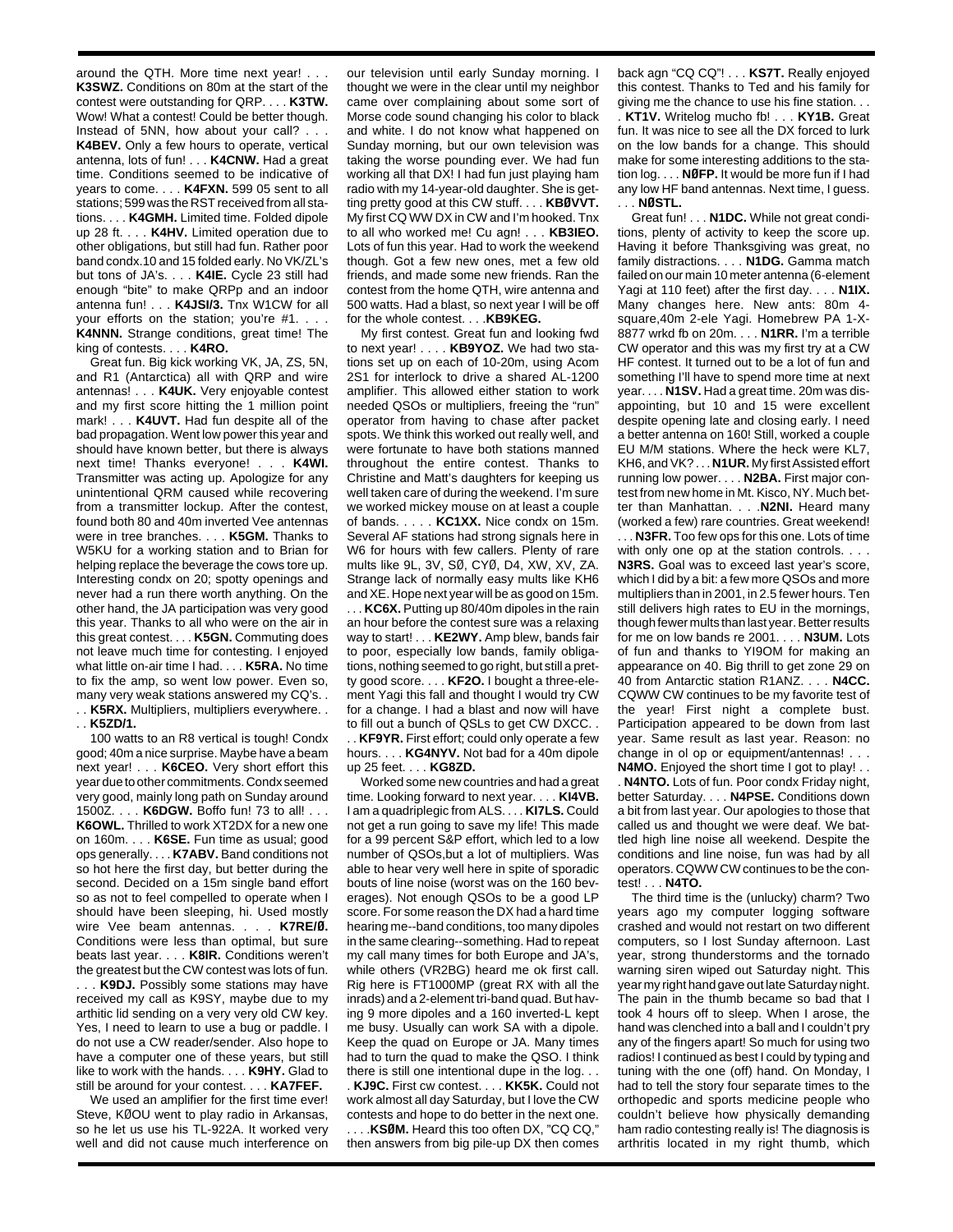around the QTH. More time next year! . . . **K3SWZ.** Conditions on 80m at the start of the contest were outstanding for QRP. . . . **K3TW.** Wow! What a contest! Could be better though. Instead of 5NN, how about your call? . . . **K4BEV.** Only a few hours to operate, vertical antenna, lots of fun! . . . **K4CNW.** Had a great time. Conditions seemed to be indicative of years to come. . . . **K4FXN.** 599 05 sent to all stations; 599 was the RST received from all stations. . . . **K4GMH.** Limited time. Folded dipole up 28 ft. . . . **K4HV.** Limited operation due to other obligations, but still had fun. Rather poor band condx.10 and 15 folded early. No VK/ZL's but tons of JA's. . . . **K4IE.** Cycle 23 still had enough "bite" to make QRPp and an indoor antenna fun! . . . **K4JSI/3.** Tnx W1CW for all your efforts on the station; you're #1. . . . **K4NNN.** Strange conditions, great time! The king of contests. . . . **K4RO.**

Great fun. Big kick working VK, JA, ZS, 5N, and R1 (Antarctica) all with QRP and wire antennas! . . . **K4UK.** Very enjoyable contest and my first score hitting the 1 million point mark! . . . **K4UVT.** Had fun despite all of the bad propagation. Went low power this year and should have known better, but there is always next time! Thanks everyone! . . . **K4WI.** Transmitter was acting up. Apologize for any unintentional QRM caused while recovering from a transmitter lockup. After the contest, found both 80 and 40m inverted Vee antennas were in tree branches. . . . **K5GM.** Thanks to W5KU for a working station and to Brian for helping replace the beverage the cows tore up. Interesting condx on 20; spotty openings and never had a run there worth anything. On the other hand, the JA participation was very good this year. Thanks to all who were on the air in this great contest. . . . **K5GN.** Commuting does not leave much time for contesting. I enjoyed what little on-air time I had. . . . **K5RA.** No time to fix the amp, so went low power. Even so, many very weak stations answered my CQ's. . . . **K5RX.** Multipliers, multipliers everywhere. . . . **K5ZD/1.**

100 watts to an R8 vertical is tough! Condx good; 40m a nice surprise. Maybe have a beam next year! . . . **K6CEO.** Very short effort this year due to other commitments. Condx seemed very good, mainly long path on Sunday around 1500Z. . . . **K6DGW.** Boffo fun! 73 to all! . . . **K6OWL.** Thrilled to work XT2DX for a new one on 160m. . . . **K6SE.** Fun time as usual; good ops generally. . . . **K7ABV.** Band conditions not so hot here the first day, but better during the second. Decided on a 15m single band effort so as not to feel compelled to operate when I should have been sleeping, hi. Used mostly wire Vee beam antennas. . . . **K7RE/Ø.** Conditions were less than optimal, but sure beats last year. . . . **K8IR.** Conditions weren't the greatest but the CW contest was lots of fun.

. . . **K9DJ.** Possibly some stations may have received my call as K9SY, maybe due to my arthitic lid sending on a very very old CW key. Yes, I need to learn to use a bug or paddle. I do not use a CW reader/sender. Also hope to have a computer one of these years, but still like to work with the hands. . . . **K9HY.** Glad to still be around for your contest. . . . **KA7FEF.**

We used an amplifier for the first time ever! Steve, KØOU went to play radio in Arkansas, so he let us use his TL-922A. It worked very well and did not cause much interference on

our television until early Sunday morning. I thought we were in the clear until my neighbor came over complaining about some sort of Morse code sound changing his color to black and white. I do not know what happened on Sunday morning, but our own television was taking the worse pounding ever. We had fun working all that DX! I had fun just playing ham radio with my 14-year-old daughter. She is getting pretty good at this CW stuff. . . . **KBØVVT.** My first CQ WW DX in CW and I'm hooked. Tnx to all who worked me! Cu agn! . . . **KB3IEO.** Lots of fun this year. Had to work the weekend though. Got a few new ones, met a few old friends, and made some new friends. Ran the contest from the home QTH, wire antenna and 500 watts. Had a blast, so next year I will be off for the whole contest. . . .**KB9KEG.**

My first contest. Great fun and looking fwd to next year! . . . . **KB9YOZ.** We had two stations set up on each of 10-20m, using Acom 2S1 for interlock to drive a shared AL-1200 amplifier. This allowed either station to work needed QSOs or multipliers, freeing the "run" operator from having to chase after packet spots. We think this worked out really well, and were fortunate to have both stations manned throughout the entire contest. Thanks to Christine and Matt's daughters for keeping us well taken care of during the weekend. I'm sure we worked mickey mouse on at least a couple of bands. . . . . **KC1XX.** Nice condx on 15m. Several AF stations had strong signals here in W6 for hours with few callers. Plenty of rare mults like 9L, 3V, SØ, CYØ, D4, XW, XV, ZA. Strange lack of normally easy mults like KH6 and XE. Hope next year will be as good on 15m. . . . **KC6X.** Putting up 80/40m dipoles in the rain an hour before the contest sure was a relaxing way to start! . . . **KE2WY.** Amp blew, bands fair to poor, especially low bands, family obligations, nothing seemed to go right, but still a pretty good score. . . . **KF2O.** I bought a three-element Yagi this fall and thought I would try CW for a change. I had a blast and now will have to fill out a bunch of QSLs to get CW DXCC. .

. . **KF9YR.** First effort; could only operate a few hours. . . . **KG4NYV.** Not bad for a 40m dipole up 25 feet. . . . **KG8ZD.**

Worked some new countries and had a great time. Looking forward to next year. . . . **KI4VB.** I am a quadriplegic from ALS. . . . **KI7LS.** Could not get a run going to save my life! This made for a 99 percent S&P effort, which led to a low number of QSOs,but a lot of multipliers. Was able to hear very well here in spite of sporadic bouts of line noise (worst was on the 160 beverages). Not enough QSOs to be a good LP score. For some reason the DX had a hard time hearing me--band conditions, too many dipoles in the same clearing--something. Had to repeat my call many times for both Europe and JA's, while others (VR2BG) heard me ok first call. Rig here is FT1000MP (great RX with all the inrads) and a 2-element tri-band quad. But having 9 more dipoles and a 160 inverted-L kept me busy. Usually can work SA with a dipole. Keep the quad on Europe or JA. Many times had to turn the quad to make the QSO. I think there is still one intentional dupe in the log. . .

. **KJ9C.** First cw contest. . . . **KK5K.** Could not work almost all day Saturday, but I love the CW contests and hope to do better in the next one. . . . .**KSØM.** Heard this too often DX, "CQ CQ," then answers from big pile-up DX then comes

back agn "CQ CQ"! . . . **KS7T.** Really enjoyed this contest. Thanks to Ted and his family for giving me the chance to use his fine station. . . . **KT1V.** Writelog mucho fb! . . . **KY1B.** Great fun. It was nice to see all the DX forced to lurk on the low bands for a change. This should make for some interesting additions to the station log. . . . **NØFP.** It would be more fun if I had any low HF band antennas. Next time, I guess. . . . **NØSTL.**

Great fun! . . . **N1DC.** While not great conditions, plenty of activity to keep the score up. Having it before Thanksgiving was great, no family distractions. . . . **N1DG.** Gamma match failed on our main 10 meter antenna (6-element Yagi at 110 feet) after the first day. . . . **N1IX.** Many changes here. New ants: 80m 4 square,40m 2-ele Yagi. Homebrew PA 1-X-8877 wrkd fb on 20m. . . . **N1RR.** I'm a terrible CW operator and this was my first try at a CW HF contest. It turned out to be a lot of fun and something I'll have to spend more time at next year. . . . **N1SV.** Had a great time. 20m was disappointing, but 10 and 15 were excellent despite opening late and closing early. I need a better antenna on 160! Still, worked a couple EU M/M stations. Where the heck were KL7, KH6, and VK? . . . **N1UR.** My first Assisted effort running low power. . . . **N2BA.** First major contest from new home in Mt. Kisco, NY. Much better than Manhattan. . . .**N2NI.** Heard many (worked a few) rare countries. Great weekend!

. . . **N3FR.** Too few ops for this one. Lots of time with only one op at the station controls. . . . **N3RS.** Goal was to exceed last year's score, which I did by a bit: a few more QSOs and more multipliers than in 2001, in 2.5 fewer hours. Ten still delivers high rates to EU in the mornings, though fewer mults than last year. Better results for me on low bands re 2001. . . . **N3UM.** Lots of fun and thanks to YI9OM for making an appearance on 40. Big thrill to get zone 29 on 40 from Antarctic station R1ANZ. . . . **N4CC.** CQWW CW continues to be my favorite test of the year! First night a complete bust. Participation appeared to be down from last year. Same result as last year. Reason: no change in ol op or equipment/antennas! . . . **N4MO.** Enjoyed the short time I got to play! . .

. **N4NTO.** Lots of fun. Poor condx Friday night, better Saturday. . . . **N4PSE.** Conditions down a bit from last year. Our apologies to those that called us and thought we were deaf. We battled high line noise all weekend. Despite the conditions and line noise, fun was had by all operators. CQWW CW continues to be the contest! . . . **N4TO.**

The third time is the (unlucky) charm? Two years ago my computer logging software crashed and would not restart on two different computers, so I lost Sunday afternoon. Last year, strong thunderstorms and the tornado warning siren wiped out Saturday night. This year my right hand gave out late Saturday night. The pain in the thumb became so bad that I took 4 hours off to sleep. When I arose, the hand was clenched into a ball and I couldn't pry any of the fingers apart! So much for using two radios! I continued as best I could by typing and tuning with the one (off) hand. On Monday, I had to tell the story four separate times to the orthopedic and sports medicine people who couldn't believe how physically demanding ham radio contesting really is! The diagnosis is arthritis located in my right thumb, which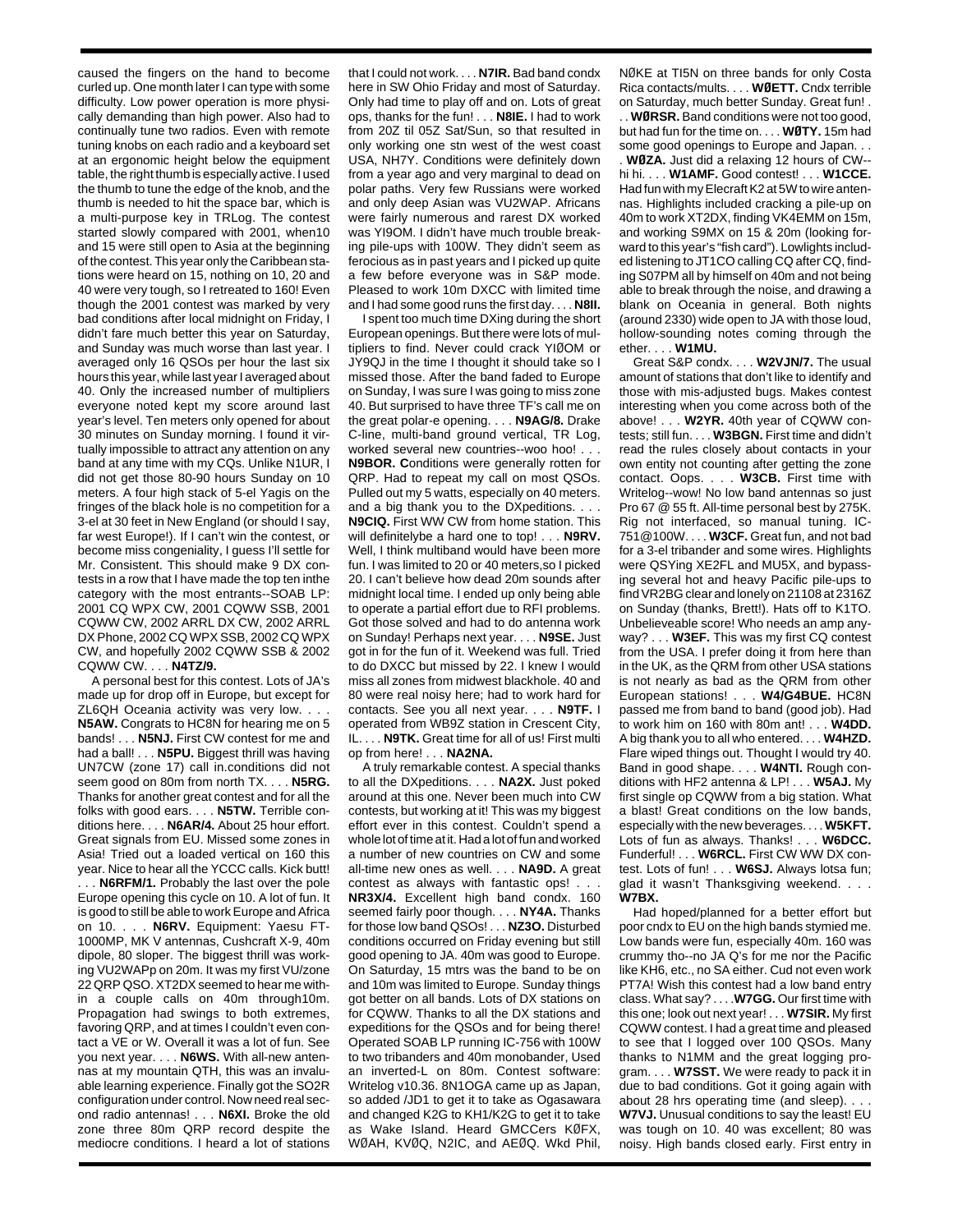caused the fingers on the hand to become curled up. One month later I can type with some difficulty. Low power operation is more physically demanding than high power. Also had to continually tune two radios. Even with remote tuning knobs on each radio and a keyboard set at an ergonomic height below the equipment table, the right thumb is especially active. I used the thumb to tune the edge of the knob, and the thumb is needed to hit the space bar, which is a multi-purpose key in TRLog. The contest started slowly compared with 2001, when10 and 15 were still open to Asia at the beginning of the contest. This year only the Caribbean stations were heard on 15, nothing on 10, 20 and 40 were very tough, so I retreated to 160! Even though the 2001 contest was marked by very bad conditions after local midnight on Friday, I didn't fare much better this year on Saturday, and Sunday was much worse than last year. I averaged only 16 QSOs per hour the last six hours this year, while last year I averaged about 40. Only the increased number of multipliers everyone noted kept my score around last year's level. Ten meters only opened for about 30 minutes on Sunday morning. I found it virtually impossible to attract any attention on any band at any time with my CQs. Unlike N1UR, I did not get those 80-90 hours Sunday on 10 meters. A four high stack of 5-el Yagis on the fringes of the black hole is no competition for a 3-el at 30 feet in New England (or should I say, far west Europe!). If I can't win the contest, or become miss congeniality, I guess I'll settle for Mr. Consistent. This should make 9 DX contests in a row that I have made the top ten inthe category with the most entrants--SOAB LP: 2001 CQ WPX CW, 2001 CQWW SSB, 2001 CQWW CW, 2002 ARRL DX CW, 2002 ARRL DX Phone, 2002 CQ WPX SSB, 2002 CQ WPX CW, and hopefully 2002 CQWW SSB & 2002 CQWW CW. . . . **N4TZ/9.**

A personal best for this contest. Lots of JA's made up for drop off in Europe, but except for ZL6QH Oceania activity was very low. . . . **N5AW.** Congrats to HC8N for hearing me on 5 bands! . . . **N5NJ.** First CW contest for me and had a ball! . . . **N5PU.** Biggest thrill was having UN7CW (zone 17) call in.conditions did not seem good on 80m from north TX. . . . **N5RG.** Thanks for another great contest and for all the folks with good ears. . . . **N5TW.** Terrible conditions here. . . . **N6AR/4.** About 25 hour effort. Great signals from EU. Missed some zones in Asia! Tried out a loaded vertical on 160 this year. Nice to hear all the YCCC calls. Kick butt!

. . . **N6RFM/1.** Probably the last over the pole Europe opening this cycle on 10. A lot of fun. It is good to still be able to work Europe and Africa on 10. . . . **N6RV.** Equipment: Yaesu FT-1000MP, MK V antennas, Cushcraft X-9, 40m dipole, 80 sloper. The biggest thrill was working VU2WAPp on 20m. It was my first VU/zone 22 QRP QSO. XT2DX seemed to hear me within a couple calls on 40m through10m. Propagation had swings to both extremes, favoring QRP, and at times I couldn't even contact a VE or W. Overall it was a lot of fun. See you next year. . . . **N6WS.** With all-new antennas at my mountain QTH, this was an invaluable learning experience. Finally got the SO2R configuration under control. Now need real second radio antennas! . . . **N6XI.** Broke the old zone three 80m QRP record despite the mediocre conditions. I heard a lot of stations

that I could not work. . . . **N7IR.** Bad band condx here in SW Ohio Friday and most of Saturday. Only had time to play off and on. Lots of great ops, thanks for the fun! . . . **N8IE.** I had to work from 20Z til 05Z Sat/Sun, so that resulted in only working one stn west of the west coast USA, NH7Y. Conditions were definitely down from a year ago and very marginal to dead on polar paths. Very few Russians were worked and only deep Asian was VU2WAP. Africans were fairly numerous and rarest DX worked was YI9OM. I didn't have much trouble breaking pile-ups with 100W. They didn't seem as ferocious as in past years and I picked up quite a few before everyone was in S&P mode. Pleased to work 10m DXCC with limited time and I had some good runs the first day. . . . **N8II.** 

I spent too much time DXing during the short European openings. But there were lots of multipliers to find. Never could crack YIØOM or JY9QJ in the time I thought it should take so I missed those. After the band faded to Europe on Sunday, I was sure I was going to miss zone 40. But surprised to have three TF's call me on the great polar-e opening. . . . **N9AG/8.** Drake C-line, multi-band ground vertical, TR Log, worked several new countries--woo hoo! **N9BOR. C**onditions were generally rotten for QRP. Had to repeat my call on most QSOs. Pulled out my 5 watts, especially on 40 meters. and a big thank you to the DXpeditions. . . . **N9CIQ.** First WW CW from home station. This will definitelybe a hard one to top! . . . **N9RV.** Well, I think multiband would have been more fun. I was limited to 20 or 40 meters,so I picked 20. I can't believe how dead 20m sounds after midnight local time. I ended up only being able to operate a partial effort due to RFI problems. Got those solved and had to do antenna work on Sunday! Perhaps next year. . . . **N9SE.** Just got in for the fun of it. Weekend was full. Tried to do DXCC but missed by 22. I knew I would miss all zones from midwest blackhole. 40 and 80 were real noisy here; had to work hard for contacts. See you all next year. . . . **N9TF.** I operated from WB9Z station in Crescent City, IL. . . . **N9TK.** Great time for all of us! First multi op from here! . . . **NA2NA.**

A truly remarkable contest. A special thanks to all the DXpeditions. . . . **NA2X.** Just poked around at this one. Never been much into CW contests, but working at it! This was my biggest effort ever in this contest. Couldn't spend a whole lot of time at it. Had a lot of fun and worked a number of new countries on CW and some all-time new ones as well. . . . **NA9D.** A great contest as always with fantastic ops! . **NR3X/4.** Excellent high band condx. 160 seemed fairly poor though. . . . **NY4A.** Thanks for those low band QSOs! . . . **NZ3O.** Disturbed conditions occurred on Friday evening but still good opening to JA. 40m was good to Europe. On Saturday, 15 mtrs was the band to be on and 10m was limited to Europe. Sunday things got better on all bands. Lots of DX stations on for CQWW. Thanks to all the DX stations and expeditions for the QSOs and for being there! Operated SOAB LP running IC-756 with 100W to two tribanders and 40m monobander, Used an inverted-L on 80m. Contest software: Writelog v10.36. 8N1OGA came up as Japan, so added /JD1 to get it to take as Ogasawara and changed K2G to KH1/K2G to get it to take as Wake Island. Heard GMCCers KØFX, WØAH, KVØQ, N2IC, and AEØQ. Wkd Phil, NØKE at TI5N on three bands for only Costa Rica contacts/mults. . . . **WØETT.** Cndx terrible on Saturday, much better Sunday. Great fun! . . . **WØRSR.** Band conditions were not too good, but had fun for the time on. . . . **WØTY.** 15m had some good openings to Europe and Japan. . . . **WØZA.** Just did a relaxing 12 hours of CW- hi hi. . . . **W1AMF.** Good contest! . . . **W1CCE.** Had fun with my Elecraft K2 at 5W to wire antennas. Highlights included cracking a pile-up on 40m to work XT2DX, finding VK4EMM on 15m, and working S9MX on 15 & 20m (looking forward to this year's "fish card"). Lowlights included listening to JT1CO calling CQ after CQ, finding S07PM all by himself on 40m and not being able to break through the noise, and drawing a blank on Oceania in general. Both nights (around 2330) wide open to JA with those loud, hollow-sounding notes coming through the ether. . . . **W1MU.**

Great S&P condx. . . . **W2VJN/7.** The usual amount of stations that don't like to identify and those with mis-adjusted bugs. Makes contest interesting when you come across both of the above! . . . **W2YR.** 40th year of CQWW contests; still fun. . . . **W3BGN.** First time and didn't read the rules closely about contacts in your own entity not counting after getting the zone contact. Oops. . . . **W3CB.** First time with Writelog--wow! No low band antennas so just Pro 67 @ 55 ft. All-time personal best by 275K. Rig not interfaced, so manual tuning. IC-751@100W. . . . **W3CF.** Great fun, and not bad for a 3-el tribander and some wires. Highlights were QSYing XE2FL and MU5X, and bypassing several hot and heavy Pacific pile-ups to find VR2BG clear and lonely on 21108 at 2316Z on Sunday (thanks, Brett!). Hats off to K1TO. Unbelieveable score! Who needs an amp anyway? . . . **W3EF.** This was my first CQ contest from the USA. I prefer doing it from here than in the UK, as the QRM from other USA stations is not nearly as bad as the QRM from other European stations! . . . **W4/G4BUE.** HC8N passed me from band to band (good job). Had to work him on 160 with 80m ant! . . . **W4DD.** A big thank you to all who entered. . . . **W4HZD.** Flare wiped things out. Thought I would try 40. Band in good shape. . . . **W4NTI.** Rough conditions with HF2 antenna & LP! . . . **W5AJ.** My first single op CQWW from a big station. What a blast! Great conditions on the low bands, especially with the new beverages. . . . **W5KFT.** Lots of fun as always. Thanks! . . . **W6DCC.** Funderful! . . . **W6RCL.** First CW WW DX contest. Lots of fun! . . . **W6SJ.** Always lotsa fun; glad it wasn't Thanksgiving weekend. . . . **W7BX.**

Had hoped/planned for a better effort but poor cndx to EU on the high bands stymied me. Low bands were fun, especially 40m. 160 was crummy tho--no JA Q's for me nor the Pacific like KH6, etc., no SA either. Cud not even work PT7A! Wish this contest had a low band entry class. What say? . . . .**W7GG.** Our first time with this one; look out next year! . . . **W7SIR.** My first CQWW contest. I had a great time and pleased to see that I logged over 100 QSOs. Many thanks to N1MM and the great logging program. . . . **W7SST.** We were ready to pack it in due to bad conditions. Got it going again with about 28 hrs operating time (and sleep).

**W7VJ.** Unusual conditions to say the least! EU was tough on 10. 40 was excellent; 80 was noisy. High bands closed early. First entry in